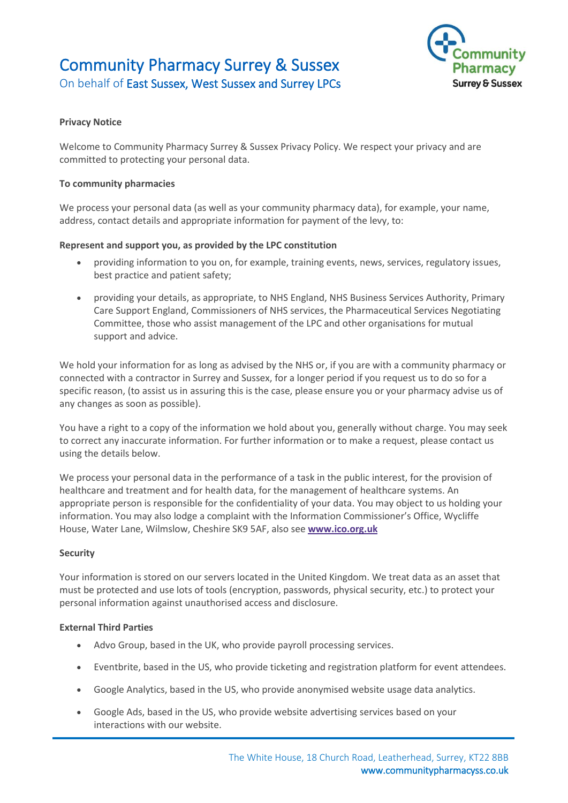## Community Pharmacy Surrey & Sussex On behalf of East Sussex, West Sussex and Surrey LPCs



### **Privacy Notice**

Welcome to Community Pharmacy Surrey & Sussex Privacy Policy. We respect your privacy and are committed to protecting your personal data.

#### **To community pharmacies**

We process your personal data (as well as your community pharmacy data), for example, your name, address, contact details and appropriate information for payment of the levy, to:

#### **Represent and support you, as provided by the LPC constitution**

- providing information to you on, for example, training events, news, services, regulatory issues, best practice and patient safety;
- providing your details, as appropriate, to NHS England, NHS Business Services Authority, Primary Care Support England, Commissioners of NHS services, the Pharmaceutical Services Negotiating Committee, those who assist management of the LPC and other organisations for mutual support and advice.

We hold your information for as long as advised by the NHS or, if you are with a community pharmacy or connected with a contractor in Surrey and Sussex, for a longer period if you request us to do so for a specific reason, (to assist us in assuring this is the case, please ensure you or your pharmacy advise us of any changes as soon as possible).

You have a right to a copy of the information we hold about you, generally without charge. You may seek to correct any inaccurate information. For further information or to make a request, please contact us using the details below.

We process your personal data in the performance of a task in the public interest, for the provision of healthcare and treatment and for health data, for the management of healthcare systems. An appropriate person is responsible for the confidentiality of your data. You may object to us holding your information. You may also lodge a complaint with the Information Commissioner's Office, Wycliffe House, Water Lane, Wilmslow, Cheshire SK9 5AF, also see **[www.ico.org.uk](http://www.ico.org.uk/)**

#### **Security**

Your information is stored on our servers located in the United Kingdom. We treat data as an asset that must be protected and use lots of tools (encryption, passwords, physical security, etc.) to protect your personal information against unauthorised access and disclosure.

#### **External Third Parties**

- Advo Group, based in the UK, who provide payroll processing services.
- Eventbrite, based in the US, who provide ticketing and registration platform for event attendees.
- Google Analytics, based in the US, who provide anonymised website usage data analytics.
- Google Ads, based in the US, who provide website advertising services based on your interactions with our website.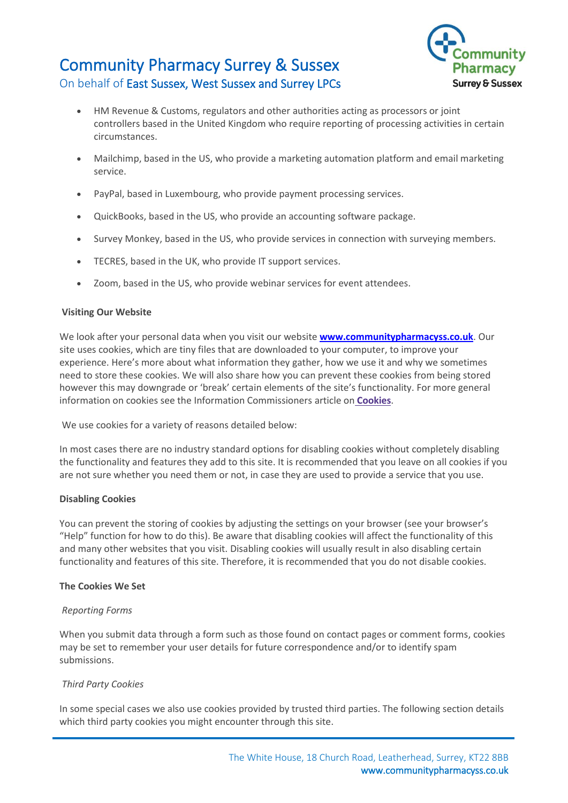## Community Pharmacy Surrey & Sussex On behalf of East Sussex, West Sussex and Surrey LPCs



- HM Revenue & Customs, regulators and other authorities acting as processors or joint controllers based in the United Kingdom who require reporting of processing activities in certain circumstances.
- Mailchimp, based in the US, who provide a marketing automation platform and email marketing service.
- PayPal, based in Luxembourg, who provide payment processing services.
- QuickBooks, based in the US, who provide an accounting software package.
- Survey Monkey, based in the US, who provide services in connection with surveying members.
- TECRES, based in the UK, who provide IT support services.
- Zoom, based in the US, who provide webinar services for event attendees.

#### **Visiting Our Website**

We look after your personal data when you visit our website **[www.communitypharmacyss.co.uk](http://www.communitypharmacyss.co.uk/)**. Our site uses cookies, which are tiny files that are downloaded to your computer, to improve your experience. Here's more about what information they gather, how we use it and why we sometimes need to store these cookies. We will also share how you can prevent these cookies from being stored however this may downgrade or 'break' certain elements of the site's functionality. For more general information on cookies see the Information Commissioners article on **[Cookies](http://www.ico.org.uk/for_organisations/privacy_and_electronic_communications/the_guide/cookies)**.

We use cookies for a variety of reasons detailed below:

In most cases there are no industry standard options for disabling cookies without completely disabling the functionality and features they add to this site. It is recommended that you leave on all cookies if you are not sure whether you need them or not, in case they are used to provide a service that you use.

#### **Disabling Cookies**

You can prevent the storing of cookies by adjusting the settings on your browser (see your browser's "Help" function for how to do this). Be aware that disabling cookies will affect the functionality of this and many other websites that you visit. Disabling cookies will usually result in also disabling certain functionality and features of this site. Therefore, it is recommended that you do not disable cookies.

#### **The Cookies We Set**

#### *Reporting Forms*

When you submit data through a form such as those found on contact pages or comment forms, cookies may be set to remember your user details for future correspondence and/or to identify spam submissions.

#### *Third Party Cookies*

In some special cases we also use cookies provided by trusted third parties. The following section details which third party cookies you might encounter through this site.